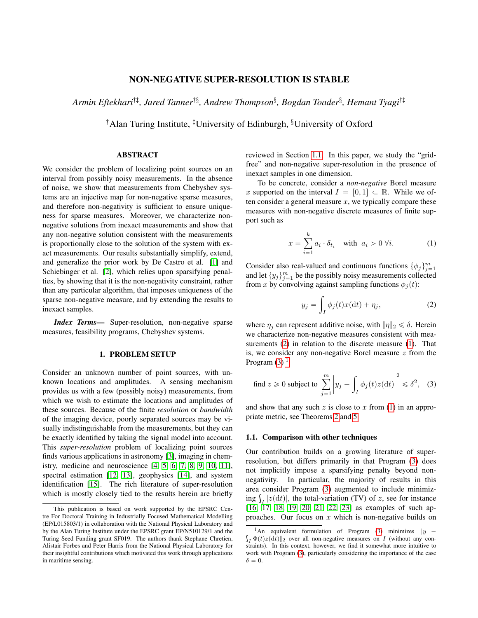# NON-NEGATIVE SUPER-RESOLUTION IS STABLE

Armin Eftekhari<sup>†‡</sup>, Jared Tanner<sup>†§</sup>, Andrew Thompson<sup>§</sup>, Bogdan Toader<sup>§</sup>, Hemant Tyagi<sup>†‡</sup>

<sup>†</sup>Alan Turing Institute, <sup>‡</sup>University of Edinburgh,  $§$ University of Oxford

# ABSTRACT

We consider the problem of localizing point sources on an interval from possibly noisy measurements. In the absence of noise, we show that measurements from Chebyshev systems are an injective map for non-negative sparse measures, and therefore non-negativity is sufficient to ensure uniqueness for sparse measures. Moreover, we characterize nonnegative solutions from inexact measurements and show that any non-negative solution consistent with the measurements is proportionally close to the solution of the system with exact measurements. Our results substantially simplify, extend, and generalize the prior work by De Castro et al. [\[1\]](#page-4-0) and Schiebinger et al. [\[2\]](#page-4-1), which relies upon sparsifying penalties, by showing that it is the non-negativity constraint, rather than any particular algorithm, that imposes uniqueness of the sparse non-negative measure, and by extending the results to inexact samples.

*Index Terms*— Super-resolution, non-negative sparse measures, feasibility programs, Chebyshev systems.

#### 1. PROBLEM SETUP

Consider an unknown number of point sources, with unknown locations and amplitudes. A sensing mechanism provides us with a few (possibly noisy) measurements, from which we wish to estimate the locations and amplitudes of these sources. Because of the finite *resolution* or *bandwidth* of the imaging device, poorly separated sources may be visually indistinguishable from the measurements, but they can be exactly identified by taking the signal model into account. This *super-resolution* problem of localizing point sources finds various applications in astronomy [\[3\]](#page-4-2), imaging in chemistry, medicine and neuroscience [\[4,](#page-4-3) [5,](#page-4-4) [6,](#page-4-5) [7,](#page-4-6) [8,](#page-4-7) [9,](#page-4-8) [10,](#page-4-9) [11\]](#page-4-10), spectral estimation [\[12,](#page-4-11) [13\]](#page-4-12), geophysics [\[14\]](#page-4-13), and system identification [\[15\]](#page-4-14). The rich literature of super-resolution which is mostly closely tied to the results herein are briefly

reviewed in Section [1.1.](#page-0-0) In this paper, we study the "gridfree" and non-negative super-resolution in the presence of inexact samples in one dimension.

To be concrete, consider a *non-negative* Borel measure x supported on the interval  $I = [0, 1] \subset \mathbb{R}$ . While we often consider a general measure  $x$ , we typically compare these measures with non-negative discrete measures of finite support such as

<span id="page-0-2"></span>
$$
x = \sum_{i=1}^{k} a_i \cdot \delta_{t_i} \quad \text{with } a_i > 0 \,\forall i. \tag{1}
$$

Consider also real-valued and continuous functions  $\{\phi_j\}_{j=1}^m$ and let  $\{y_j\}_{j=1}^m$  be the possibly noisy measurements collected from x by convolving against sampling functions  $\phi_j(t)$ :

<span id="page-0-1"></span>
$$
y_j = \int_I \phi_j(t)x(\mathrm{d}t) + \eta_j,\tag{2}
$$

where  $\eta_i$  can represent additive noise, with  $\|\eta\|_2 \le \delta$ . Herein we characterize non-negative measures consistent with mea-surements [\(2\)](#page-0-1) in relation to the discrete measure [\(1\)](#page-0-2). That is, we consider any non-negative Borel measure  $z$  from the Program  $(3)$ <sup>[1](#page-0-4)</sup>

<span id="page-0-3"></span>find 
$$
z \ge 0
$$
 subject to  $\sum_{j=1}^{m} |y_j - \int_I \phi_j(t) z(dt)|^2 \le \delta^2$ , (3)

and show that any such  $z$  is close to  $x$  from [\(1\)](#page-0-2) in an appropriate metric, see Theorems [2](#page-1-0) and [5.](#page-2-0)

### <span id="page-0-0"></span>1.1. Comparison with other techniques

Our contribution builds on a growing literature of superresolution, but differs primarily in that Program [\(3\)](#page-0-3) does not implicitly impose a sparsifying penalty beyond nonnegativity. In particular, the majority of results in this area consider Program [\(3\)](#page-0-3) augmented to include minimizarea consider Program (3) augmented to include minimizing  $\int_I |z(dt)|$ , the total-variation (TV) of z, see for instance [\[16,](#page-4-15) [17,](#page-4-16) [18,](#page-4-17) [19,](#page-4-18) [20,](#page-4-19) [21,](#page-4-20) [22,](#page-4-21) [23\]](#page-4-22) as examples of such approaches. Our focus on  $x$  which is non-negative builds on

This publication is based on work supported by the EPSRC Centre For Doctoral Training in Industrially Focused Mathematical Modelling (EP/L015803/1) in collaboration with the National Physical Laboratory and by the Alan Turing Institute under the EPSRC grant EP/N510129/1 and the Turing Seed Funding grant SF019. The authors thank Stephane Chretien, Alistair Forbes and Peter Harris from the National Physical Laboratory for their insightful contributions which motivated this work through applications in maritime sensing.

<span id="page-0-4"></span><sup>&</sup>lt;sup>1</sup>An equivalent formulation of Program [\(3\)](#page-0-3) minimizes  $||y \int_I \Phi(t) z(\mathrm{d}t) \|_2$  over all non-negative measures on I (without any constraints). In this context, however, we find it somewhat more intuitive to work with Program [\(3\)](#page-0-3), particularly considering the importance of the case  $\delta = 0.$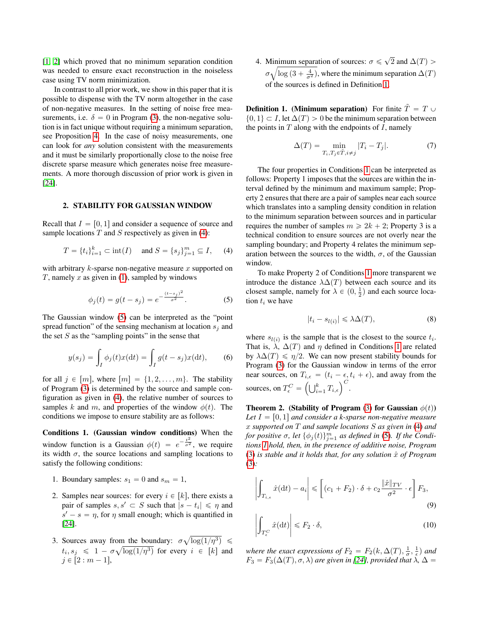[\[1,](#page-4-0) [2\]](#page-4-1) which proved that no minimum separation condition was needed to ensure exact reconstruction in the noiseless case using TV norm minimization.

In contrast to all prior work, we show in this paper that it is possible to dispense with the TV norm altogether in the case of non-negative measures. In the setting of noise free measurements, i.e.  $\delta = 0$  in Program [\(3\)](#page-0-3), the non-negative solution is in fact unique without requiring a minimum separation, see Proposition [4.](#page-2-1) In the case of noisy measurements, one can look for *any* solution consistent with the measurements and it must be similarly proportionally close to the noise free discrete sparse measure which generates noise free measurements. A more thorough discussion of prior work is given in [\[24\]](#page-4-23).

### 2. STABILITY FOR GAUSSIAN WINDOW

Recall that  $I = [0, 1]$  and consider a sequence of source and sample locations  $T$  and  $S$  respectively as given in [\(4\)](#page-1-1):

<span id="page-1-1"></span>
$$
T = \{t_i\}_{i=1}^k \subset \text{int}(I) \quad \text{and } S = \{s_j\}_{j=1}^m \subseteq I, \quad (4)
$$

with arbitrary  $k$ -sparse non-negative measure  $x$  supported on  $T$ , namely  $x$  as given in [\(1\)](#page-0-2), sampled by windows

<span id="page-1-2"></span>
$$
\phi_j(t) = g(t - s_j) = e^{-\frac{(t - s_j)^2}{\sigma^2}}.
$$
\n(5)

The Gaussian window [\(5\)](#page-1-2) can be interpreted as the "point spread function" of the sensing mechanism at location  $s_i$  and the set  $S$  as the "sampling points" in the sense that

$$
y(s_j) = \int_I \phi_j(t)x(\mathrm{d}t) = \int_I g(t - s_j)x(\mathrm{d}t),\qquad(6)
$$

for all  $j \in [m]$ , where  $[m] = \{1, 2, \ldots, m\}$ . The stability of Program [\(3\)](#page-0-3) is determined by the source and sample configuration as given in [\(4\)](#page-1-1), the relative number of sources to samples k and m, and properties of the window  $\phi(t)$ . The conditions we impose to ensure stability are as follows:

Conditions 1. (Gaussian window conditions) When the window function is a Gaussian  $\phi(t) = e^{-\frac{t^2}{\sigma^2}}$ , we require its width  $\sigma$ , the source locations and sampling locations to satisfy the following conditions:

- 1. Boundary samples:  $s_1 = 0$  and  $s_m = 1$ ,
- 2. Samples near sources: for every  $i \in [k]$ , there exists a pair of samples  $s, s' \subset S$  such that  $|s - t_i| \leq \eta$  and  $s' - s = \eta$ , for  $\eta$  small enough; which is quantified in [\[24\]](#page-4-23).
- 3. Sources away from the boundary:  $\sigma \sqrt{\log(1/\eta^3)} \leq$  $t_i, s_j \leq 1 - \sigma \sqrt{\log(1/\eta^3)}$  for every  $i \in [k]$  and  $j \in [2 : m - 1],$

<span id="page-1-4"></span>4. Minimum separation of sources:  $\sigma \leq \sqrt{2}$  and  $\Delta(T)$  $\sigma \sqrt{\log(3 + \frac{4}{\sigma^2})}$ , where the minimum separation  $\Delta(T)$ of the sources is defined in Definition [1.](#page-1-3)

<span id="page-1-3"></span>**Definition 1. (Minimum separation)** For finite  $\tilde{T} = T \cup$  $\{0, 1\} \subset I$ , let  $\Delta(T) > 0$  be the minimum separation between the points in  $T$  along with the endpoints of  $I$ , namely

$$
\Delta(T) = \min_{T_i, T_j \in \tilde{T}, i \neq j} |T_i - T_j|.
$$
 (7)

The four properties in Conditions [1](#page-1-4) can be interpreted as follows: Property 1 imposes that the sources are within the interval defined by the minimum and maximum sample; Property 2 ensures that there are a pair of samples near each source which translates into a sampling density condition in relation to the minimum separation between sources and in particular requires the number of samples  $m \ge 2k + 2$ ; Property 3 is a technical condition to ensure sources are not overly near the sampling boundary; and Property 4 relates the minimum separation between the sources to the width,  $\sigma$ , of the Gaussian window.

To make Property 2 of Conditions [1](#page-1-4) more transparent we introduce the distance  $\lambda \Delta(T)$  between each source and its closest sample, namely for  $\lambda \in (0, \frac{1}{2})$  and each source location  $t_i$  we have

<span id="page-1-5"></span>
$$
|t_i - s_{l(i)}| \leq \lambda \Delta(T),\tag{8}
$$

where  $s_{l(i)}$  is the sample that is the closest to the source  $t_i$ . That is,  $\lambda$ ,  $\Delta(T)$  and  $\eta$  defined in Conditions [1](#page-1-4) are related by  $\lambda \Delta(T) \le \eta/2$ . We can now present stability bounds for Program [\(3\)](#page-0-3) for the Gaussian window in terms of the error near sources, on  $T_{i,\epsilon} = (t_i - \epsilon, t_i + \epsilon)$ , and away from the mear sources, on  $T_{\epsilon}^C = \left(\bigcup_{i=1}^k T_{\epsilon}^C\right)$  $=\frac{1}{k}$ <br> $\left(\frac{k}{i=1}T_{i,\epsilon}\right)^{C}.$ 

<span id="page-1-0"></span>Theorem 2. (Stability of Program [\(3\)](#page-0-3) for Gaussian  $\phi(t)$ ) Let  $I = [0, 1]$  and consider a k-sparse non-negative measure x *supported on* T *and sample locations* S *as given in* [\(4\)](#page-1-1) *and for positive*  $\sigma$ *, let*  $\{\phi_j(t)\}_{j=1}^m$  *as defined in* [\(5\)](#page-1-2)*. If the Conditions [1](#page-1-4) hold, then, in the presence of additive noise, Program* [\(3\)](#page-0-3) *is stable and it holds that, for any solution*  $\hat{x}$  *of Program* [\(3\)](#page-0-3)*:*

$$
\left| \int_{T_{i,\epsilon}} \hat{x}(\mathrm{d}t) - a_i \right| \leqslant \left[ (c_1 + F_2) \cdot \delta + c_2 \frac{\|\hat{x}\|_{TV}}{\sigma^2} \cdot \epsilon \right] F_3,
$$
\n
$$
(9)
$$

$$
\left| \int_{T_{\epsilon}^C} \hat{x}(\mathrm{d}t) \right| \leq F_2 \cdot \delta,\tag{10}
$$

*where the exact expressions of*  $F_2 = F_2(k, \Delta(T), \frac{1}{\sigma}, \frac{1}{\epsilon})$  and  $F_3 = F_3(\Delta(T), \sigma, \lambda)$  *are given in [\[24\]](#page-4-23), provided that*  $\lambda$ *,*  $\Delta =$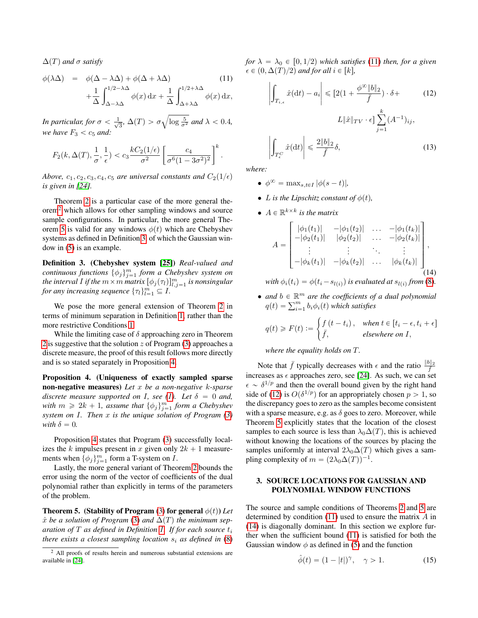$\Delta(T)$  and  $\sigma$  *satisfy* 

<span id="page-2-4"></span>
$$
\phi(\lambda \Delta) = \phi(\Delta - \lambda \Delta) + \phi(\Delta + \lambda \Delta)
$$
\n
$$
+ \frac{1}{\Delta} \int_{\Delta - \lambda \Delta}^{1/2 - \lambda \Delta} \phi(x) dx + \frac{1}{\Delta} \int_{\Delta + \lambda \Delta}^{1/2 + \lambda \Delta} \phi(x) dx,
$$
\n(11)

*In particular, for*  $\sigma < \frac{1}{\sqrt{2}}$  $\frac{1}{3}$ ,  $\Delta(T) > \sigma$  $\log \frac{5}{\sigma^2}$  *and*  $\lambda < 0.4$ *, we have*  $F_3 < c_5$  *and:* 

$$
F_2(k, \Delta(T), \frac{1}{\sigma}, \frac{1}{\epsilon}) < c_3 \frac{kC_2(1/\epsilon)}{\sigma^2} \left[ \frac{c_4}{\sigma^6 (1 - 3\sigma^2)^2} \right]^k.
$$

*Above,*  $c_1$ ,  $c_2$ ,  $c_3$ ,  $c_4$ ,  $c_5$  *are universal constants and*  $C_2(1/\epsilon)$ *is given in [\[24\]](#page-4-23).*

Theorem [2](#page-1-0) is a particular case of the more general theorem[2](#page-2-2) which allows for other sampling windows and source sample configurations. In particular, the more general The-orem [5](#page-2-0) is valid for any windows  $\phi(t)$  which are Chebyshev systems as defined in Definition [3,](#page-2-3) of which the Gaussian window in [\(5\)](#page-1-2) is an example.

<span id="page-2-3"></span>Definition 3. (Chebyshev system [\[25\]](#page-4-24)) *Real-valued and continuous functions*  $\{\phi_j\}_{j=1}^m$  *form a Chebyshev system on the interval I if the*  $m \times m$  *matrix*  $[\phi_j(\tau_l)]_{l,j=1}^m$  *is nonsingular for any increasing sequence*  ${\{\tau_l\}}_{l=1}^m \subseteq I$ .

We pose the more general extension of Theorem [2](#page-1-0) in terms of minimum separation in Definition [1,](#page-1-3) rather than the more restrictive Conditions [1.](#page-1-4)

While the limiting case of  $\delta$  approaching zero in Theorem [2](#page-1-0) is suggestive that the solution  $z$  of Program [\(3\)](#page-0-3) approaches a discrete measure, the proof of this result follows more directly and is so stated separately in Proposition [4.](#page-2-1)

<span id="page-2-1"></span>Proposition 4. (Uniqueness of exactly sampled sparse non-negative measures) *Let* x *be a non-negative* k*-sparse discrete measure supported on I, see [\(1\)](#page-0-2). Let*  $\delta = 0$  *and, with*  $m \ge 2k + 1$ , *assume that*  $\{\phi_j\}_{j=1}^m$  *form a Chebyshev system on* I*. Then* x *is the unique solution of Program [\(3\)](#page-0-3) with*  $\delta = 0$ *.* 

Proposition [4](#page-2-1) states that Program [\(3\)](#page-0-3) successfully localizes the k impulses present in x given only  $2k + 1$  measurements when  $\{\phi_j\}_{j=1}^m$  form a T-system on *I*.

Lastly, the more general variant of Theorem [2](#page-1-0) bounds the error using the norm of the vector of coefficients of the dual polynomial rather than explicitly in terms of the parameters of the problem.

<span id="page-2-0"></span>**Theorem 5.** (Stability of Program [\(3\)](#page-0-3) for general  $\phi(t)$ ) *Let*  $\hat{x}$  *be a solution of Program* [\(3\)](#page-0-3) *and*  $\Delta(T)$  *the minimum separation of* T *as defined in Definition [1.](#page-1-3) If for each source* t<sup>i</sup> *there exists a closest sampling location*  $s_i$  *as defined in* [\(8\)](#page-1-5)

*for*  $\lambda = \lambda_0 \in [0, 1/2)$  *which satisfies* [\(11\)](#page-2-4) *then, for a given*  $\epsilon \in (0, \Delta(T)/2)$  and for all  $i \in [k],$ 

<span id="page-2-5"></span>
$$
\left| \int_{T_{i,\epsilon}} \hat{x}(\mathrm{d}t) - a_i \right| \leq [2(1 + \frac{\phi^{\infty} \|b\|_2}{\bar{f}}) \cdot \delta +
$$
(12)  

$$
L \|\hat{x}\|_{TV} \cdot \epsilon \leq \sum_{j=1}^k (A^{-1})_{ij},
$$
  

$$
\left| \int_{T_{\epsilon}^C} \hat{x}(\mathrm{d}t) \right| \leq \frac{2\|b\|_2}{\bar{f}} \delta,
$$
(13)

*where:*

- $\phi^{\infty} = \max_{s,t \in I} |\phi(s-t)|,$
- *L* is the Lipschitz constant of  $\phi(t)$ ,
- $A \in \mathbb{R}^{k \times k}$  is the matrix »

<span id="page-2-6"></span>
$$
A = \begin{bmatrix} |\phi_1(t_1)| & -|\phi_1(t_2)| & \dots & -|\phi_1(t_k)| \\ -|\phi_2(t_1)| & |\phi_2(t_2)| & \dots & -|\phi_2(t_k)| \\ \vdots & \vdots & \ddots & \vdots \\ -|\phi_k(t_1)| & -|\phi_k(t_2)| & \dots & |\phi_k(t_k)| \end{bmatrix},
$$
(14)

*with*  $\phi_i(t_i) = \phi(t_i - s_{l(i)})$  is evaluated at  $s_{l(i)}$  from [\(8\)](#page-1-5)*.* 

• and  $b \in \mathbb{R}^m$  are the coefficients of a dual polynomial and  $b \in \mathbb{R}^m$  are the coefficients of  $q(t) = \sum_{i=1}^m b_i \phi_i(t)$  which satisfies #

$$
q(t) \ge F(t) := \begin{cases} f(t - t_i), & \text{when } t \in [t_i - \epsilon, t_i + \epsilon] \\ \bar{f}, & \text{elsewhere on } I, \end{cases}
$$

*where the equality holds on* T*.*

Note that  $\bar{f}$  typically decreases with  $\epsilon$  and the ratio  $\frac{\|b\|_2}{\bar{f}}$ increases as  $\epsilon$  approaches zero, see [\[24\]](#page-4-23). As such, we can set  $\epsilon \sim \delta^{1/p}$  and then the overall bound given by the right hand side of [\(12\)](#page-2-5) is  $O(\delta^{1/p})$  for an appropriately chosen  $p > 1$ , so the discrepancy goes to zero as the samples become consistent with a sparse measure, e.g. as  $\delta$  goes to zero. Moreover, while Theorem [5](#page-2-0) explicitly states that the location of the closest samples to each source is less than  $\lambda_0\Delta(T)$ , this is achieved without knowing the locations of the sources by placing the samples uniformly at interval  $2\lambda_0\Delta(T)$  which gives a sampling complexity of  $m = (2\lambda_0\Delta(T))^{-1}$ .

### 3. SOURCE LOCATIONS FOR GAUSSIAN AND POLYNOMIAL WINDOW FUNCTIONS

The source and sample conditions of Theorems [2](#page-1-0) and [5](#page-2-0) are determined by condition [\(11\)](#page-2-4) used to ensure the matrix A in [\(14\)](#page-2-6) is diagonally dominant. In this section we explore further when the sufficient bound [\(11\)](#page-2-4) is satisfied for both the Gaussian window  $\phi$  as defined in [\(5\)](#page-1-2) and the function

<span id="page-2-7"></span>
$$
\hat{\phi}(t) = (1 - |t|)^{\gamma}, \quad \gamma > 1.
$$
 (15)

<span id="page-2-2"></span><sup>2</sup> All proofs of results herein and numerous substantial extensions are available in [\[24\]](#page-4-23).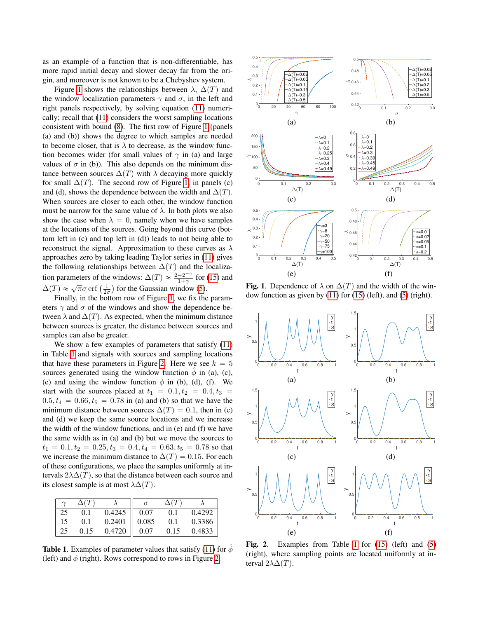as an example of a function that is non-differentiable, has more rapid initial decay and slower decay far from the origin, and moreover is not known to be a Chebyshev system.

Figure [1](#page-3-0) shows the relationships between  $\lambda$ ,  $\Delta(T)$  and the window localization parameters  $\gamma$  and  $\sigma$ , in the left and right panels respectively, by solving equation [\(11\)](#page-2-4) numerically; recall that [\(11\)](#page-2-4) considers the worst sampling locations consistent with bound [\(8\)](#page-1-5). The first row of Figure [1](#page-3-0) (panels (a) and (b)) shows the degree to which samples are needed to become closer, that is  $\lambda$  to decrease, as the window function becomes wider (for small values of  $\gamma$  in (a) and large values of  $\sigma$  in (b)). This also depends on the minimum distance between sources  $\Delta(T)$  with  $\lambda$  decaying more quickly for small  $\Delta(T)$ . The second row of Figure [1,](#page-3-0) in panels (c) and (d), shows the dependence between the width and  $\Delta(T)$ . When sources are closer to each other, the window function must be narrow for the same value of  $\lambda$ . In both plots we also show the case when  $\lambda = 0$ , namely when we have samples at the locations of the sources. Going beyond this curve (bottom left in (c) and top left in (d)) leads to not being able to reconstruct the signal. Approximation to these curves as  $\lambda$ approaches zero by taking leading Taylor series in [\(11\)](#page-2-4) gives the following relationships between  $\Delta(T)$  and the localization parameters of the windows:  $\Delta(T) \approx \frac{2-2^{-\gamma}}{1+\gamma}$ windows:  $\Delta(T) \approx \frac{2-2}{1+\gamma}$  for [\(15\)](#page-2-7) and non parameters of the windows:  $\Delta(T) \approx \frac{1}{1+\gamma}$  for the  $\Delta(T) \approx \sqrt{\pi} \sigma$  erf  $\left(\frac{1}{2\sigma}\right)$  for the Gaussian window [\(5\)](#page-1-2). (ight) (and vespond to respond to reliable the state of  $\lambda$  is a correspond to the bound of  $\lambda$  for the right (ight). The intervention of the right (ight) and  $\lambda$  is a correspond to the right (ight) is a correspond to

Finally, in the bottom row of Figure [1,](#page-3-0) we fix the parameters  $\gamma$  and  $\sigma$  of the windows and show the dependence between  $\lambda$  and  $\Delta(T)$ . As expected, when the minimum distance between sources is greater, the distance between sources and samples can also be greater.

We show a few examples of parameters that satisfy  $(11)$ in Table [1](#page-3-1) and signals with sources and sampling locations that have these parameters in Figure [2.](#page-3-2) Here we see  $k = 5$ sources generated using the window function  $\phi$  in (a), (c), (e) and using the window function  $\phi$  in (b), (d), (f). We start with the sources placed at  $t_1 = 0.1, t_2 = 0.4, t_3 =$  $0.5, t_4 = 0.66, t_5 = 0.78$  in (a) and (b) so that we have the minimum distance between sources  $\Delta(T) = 0.1$ , then in (c) and (d) we keep the same source locations and we increase the width of the window functions, and in (e) and (f) we have the same width as in (a) and (b) but we move the sources to  $t_1 = 0.1, t_2 = 0.25, t_3 = 0.4, t_4 = 0.63, t_5 = 0.78$  so that we increase the minimum distance to  $\Delta(T) = 0.15$ . For each of these configurations, we place the samples uniformly at intervals  $2\lambda\Delta(T)$ , so that the distance between each source and its closest sample is at most  $\lambda \Delta(T)$ .

|    | $\Delta(T)$ |        |       | $\Delta(T)$ |        |
|----|-------------|--------|-------|-------------|--------|
| 25 | 0.1         | 0.4245 | 0.07  | 0.1         | 0.4292 |
| 15 | 0.1         | 0.2401 | 0.085 | 0.1         | 0.3386 |
| 25 | 0.15        | 0.4720 | 0.07  | 0.15        | 0.4833 |

<span id="page-3-1"></span>**Table 1.** Examples of parameter values that satisfy [\(11\)](#page-2-4) for  $\hat{\phi}$ 



<span id="page-3-0"></span>Fig. 1. Dependence of  $\lambda$  on  $\Delta(T)$  and the width of the window function as given by [\(11\)](#page-2-4) for [\(15\)](#page-2-7) (left), and [\(5\)](#page-1-2) (right).



<span id="page-3-2"></span>Fig. 2. Examples from Table [1](#page-3-1) for [\(15\)](#page-2-7) (left) and [\(5\)](#page-1-2) (right), where sampling points are located uniformly at interval  $2\lambda\Delta(T)$ .